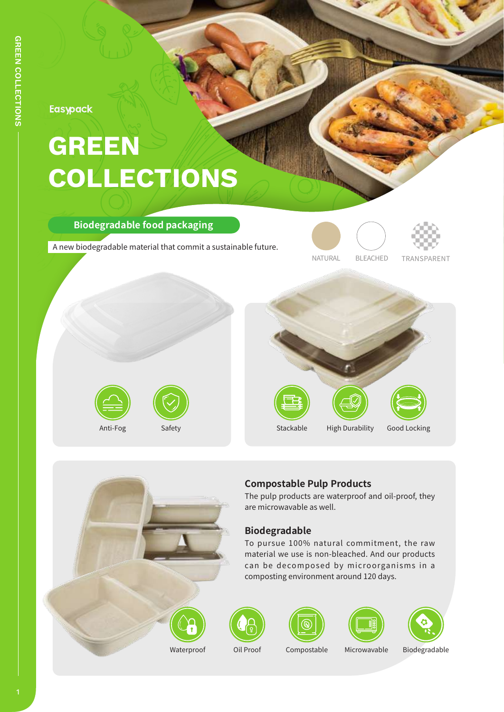**Easypack** 

# **GREEN COLLECTIONS**

### **Biodegradable food packaging**

A new biodegradable material that commit a sustainable future.











## **Compostable Pulp Products**

The pulp products are waterproof and oil-proof, they are microwavable as well.

## **Biodegradable**

To pursue 100% natural commitment, the raw material we use is non-bleached. And our products can be decomposed by microorganisms in a composting environment around 120 days.







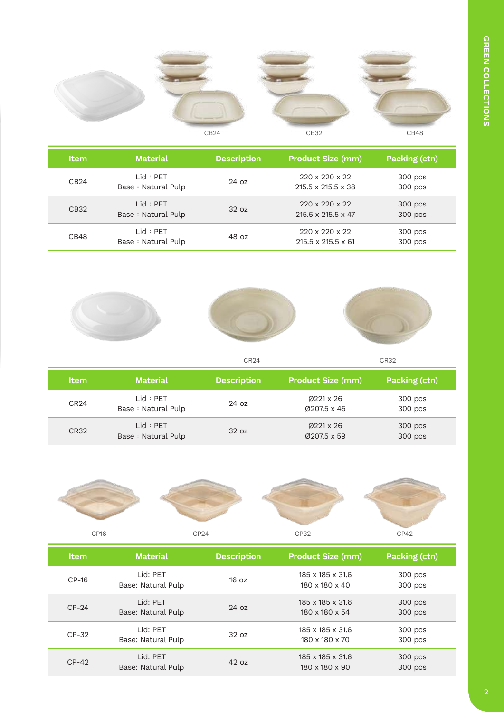

| <b>Item</b> | <b>Material</b>                  | <b>Description</b> | <b>Product Size (mm)</b>                                     | Packing (ctn)      |
|-------------|----------------------------------|--------------------|--------------------------------------------------------------|--------------------|
| CB24        | l id : PFT<br>Base: Natural Pulp | 24 oz              | 220 x 220 x 22<br>215.5 x 215.5 x 38                         | 300 pcs<br>300 pcs |
| CB32        | Lid : PET<br>Base: Natural Pulp  | 32 oz              | $220 \times 220 \times 22$<br>$215.5 \times 215.5 \times 47$ | 300 pcs<br>300 pcs |
| CB48        | Lid : PET<br>Base: Natural Pulp  | 48 oz              | $220 \times 220 \times 22$<br>215.5 x 215.5 x 61             | 300 pcs<br>300 pcs |







CR24 CR32

| <b>Item</b>      | <b>Material</b>                 | <b>Description</b> | <b>Product Size (mm)</b>            | Packing (ctn)      |
|------------------|---------------------------------|--------------------|-------------------------------------|--------------------|
| CR <sub>24</sub> | Lid : PET<br>Base: Natural Pulp | $24 \text{ oz}$    | $\emptyset$ 221 x 26<br>Ø207.5 x 45 | 300 pcs<br>300 pcs |
| <b>CR32</b>      | lid : PFT<br>Base: Natural Pulp | 32 oz              | $Ø221 \times 26$<br>Ø207.5 x 59     | 300 pcs<br>300 pcs |



| <b>Item</b> | <b>Material</b>                 | <b>Description</b> | <b>Product Size (mm)</b>                       | Packing (ctn)      |
|-------------|---------------------------------|--------------------|------------------------------------------------|--------------------|
| $CP-16$     | I id: PFT<br>Base: Natural Pulp | 16 oz              | 185 x 185 x 31.6<br>$180 \times 180 \times 40$ | 300 pcs<br>300 pcs |
| $CP-24$     | I id: PFT<br>Base: Natural Pulp | 24 oz              | 185 x 185 x 31.6<br>180 x 180 x 54             | 300 pcs<br>300 pcs |
| $CP-32$     | Lid: PET<br>Base: Natural Pulp  | 32 oz              | 185 x 185 x 31.6<br>180 x 180 x 70             | 300 pcs<br>300 pcs |
| $CP-42$     | Lid: PET<br>Base: Natural Pulp  | 42 oz              | 185 x 185 x 31.6<br>180 x 180 x 90             | 300 pcs<br>300 pcs |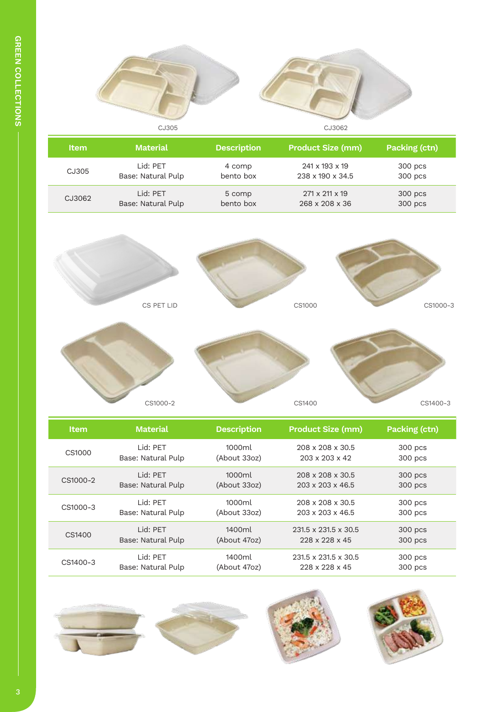

| <b>Item</b> | <b>Material</b>    | <b>Description</b> | <b>Product Size (mm)</b> | Packing (ctn) |
|-------------|--------------------|--------------------|--------------------------|---------------|
| CJ305       | Lid: PET           | 4 comp             | 241 x 193 x 19           | 300 pcs       |
|             | Base: Natural Pulp | bento box          | 238 x 190 x 34.5         | 300 pcs       |
| CJ3062      | Lid: PET           | 5 comp             | 271 x 211 x 19           | 300 pcs       |
|             | Base: Natural Pulp | bento box          | 268 x 208 x 36           | 300 pcs       |



| <b>Item</b> | <b>Material</b>    | <b>Description</b> | <b>Product Size (mm)</b>         | Packing (ctn) |
|-------------|--------------------|--------------------|----------------------------------|---------------|
| CS1000      | Lid: PFT           | 1000ml             | 208 x 208 x 30.5                 | 300 pcs       |
|             | Base: Natural Pulp | (About 33oz)       | $203 \times 203 \times 42$       | 300 pcs       |
| CS1000-2    | I id: PFT          | 1000m              | $208 \times 208 \times 30.5$     | 300 pcs       |
|             | Base: Natural Pulp | (About 33oz)       | 203 x 203 x 46.5                 | 300 pcs       |
| CS1000-3    | Lid: PET           | 1000ml             | 208 x 208 x 30.5                 | 300 pcs       |
|             | Base: Natural Pulp | (About 33oz)       | $203 \times 203 \times 46.5$     | 300 pcs       |
| CS1400      | I id: PFT          | 1400ml             | $231.5 \times 231.5 \times 30.5$ | 300 pcs       |
|             | Base: Natural Pulp | (About 47oz)       | 228 x 228 x 45                   | 300 pcs       |
| CS1400-3    | Lid: PET           | 1400ml             | $231.5 \times 231.5 \times 30.5$ | 300 pcs       |
|             | Base: Natural Pulp | (About 47oz)       | 228 x 228 x 45                   | 300 pcs       |

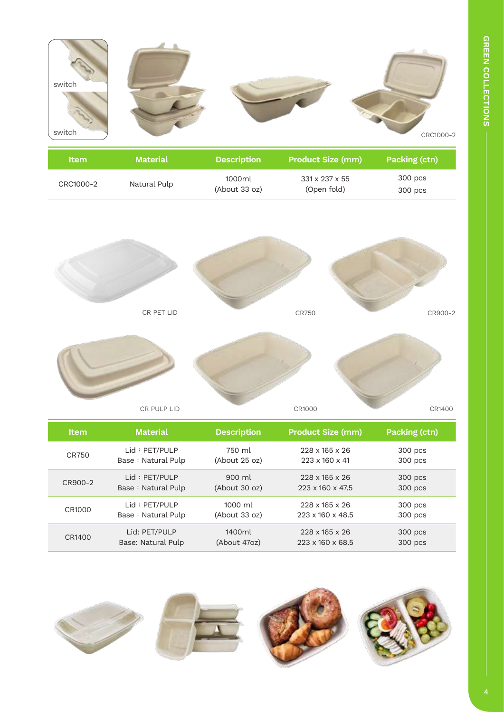

| ltem.     | <b>Material</b> | <b>Description</b> | <b>Product Size (mm)</b> | <b>Packing (ctn)</b> |
|-----------|-----------------|--------------------|--------------------------|----------------------|
|           |                 | 1000ml             | 331 x 237 x 55           | 300 pcs              |
| CRC1000-2 | Natural Pulp    | (About 33 oz)      | (Open fold)              | 300 pcs              |





CR PULP LID



CR1000

| <b>Item</b> | <b>Material</b>    | <b>Description</b>  | <b>Product Size (mm)</b>     | Packing (ctn) |
|-------------|--------------------|---------------------|------------------------------|---------------|
| CR750       | Lid: PET/PULP      | 750 ml              | $228 \times 165 \times 26$   | 300 pcs       |
|             | Base: Natural Pulp | $(A$ bout 25 oz $)$ | $223 \times 160 \times 41$   | 300 pcs       |
| CR900-2     | Lid: PET/PULP      | $900 \mathrm{ml}$   | $228 \times 165 \times 26$   | 300 pcs       |
|             | Base: Natural Pulp | $(A$ bout 30 oz $)$ | 223 x 160 x 47.5             | 300 pcs       |
| CR1000      | Lid : PET/PULP     | $1000 \mathrm{m}$   | $228 \times 165 \times 26$   | 300 pcs       |
|             | Base: Natural Pulp | (About 33 oz)       | $223 \times 160 \times 48.5$ | 300 pcs       |
| CR1400      | Lid: PET/PULP      | 1400ml              | $228 \times 165 \times 26$   | 300 pcs       |
|             | Base: Natural Pulp | (About 47oz)        | $223 \times 160 \times 68.5$ | 300 pcs       |



CR1400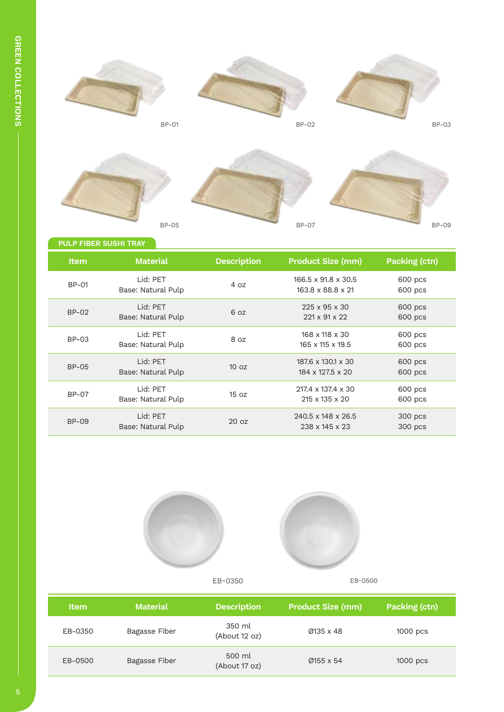

#### **PULP FIBER SUSHI TRAY**

| <b>Item</b>  | <b>Material</b>                 | <b>Description</b> | <b>Product Size (mm)</b>                   | Packing (ctn)      |
|--------------|---------------------------------|--------------------|--------------------------------------------|--------------------|
| <b>BP-01</b> | Lid: PET<br>Base: Natural Pulp  | 4 oz               | 166.5 x 91.8 x 30.5<br>163.8 x 88.8 x 21   | 600 pcs<br>600 pcs |
| $BP-02$      | Lid: PET<br>Base: Natural Pulp  | 6 oz               | $225 \times 95 \times 30$<br>221 x 91 x 22 | 600 pcs<br>600 pcs |
| <b>BP-03</b> | Lid: PET<br>Base: Natural Pulp  | 8 oz               | 168 x 118 x 30<br>165 x 115 x 19.5         | 600 pcs<br>600 pcs |
| <b>BP-05</b> | I id: PFT<br>Base: Natural Pulp | 10 <sub>oz</sub>   | 187.6 x 130.1 x 30<br>184 x 127.5 x 20     | 600 pcs<br>600 pcs |
| <b>BP-07</b> | Lid: PET<br>Base: Natural Pulp  | 15 oz              | 217.4 x 137.4 x 30<br>215 x 135 x 20       | 600 pcs<br>600 pcs |
| <b>BP-09</b> | I id: PFT<br>Base: Natural Pulp | 20 oz              | 240.5 x 148 x 26.5<br>238 x 145 x 23       | 300 pcs<br>300 pcs |





| <b>Item</b> | <b>Material</b>      | <b>Description</b>      | <b>Product Size (mm)</b> | Packing (ctn) |
|-------------|----------------------|-------------------------|--------------------------|---------------|
| EB-0350     | Bagasse Fiber        | 350 ml<br>(About 12 oz) | Ø135 x 48                | $1000$ pcs    |
| EB-0500     | <b>Bagasse Fiber</b> | 500 ml<br>(About 17 oz) | Ø155 x 54                | $1000$ pcs    |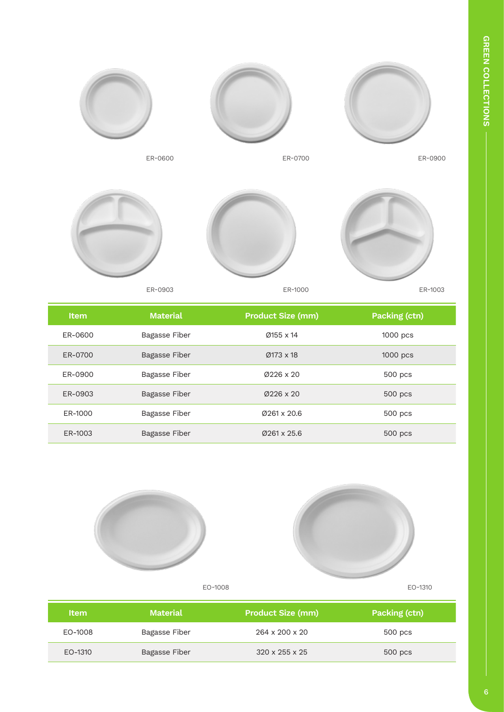

ER-0600



ER-0700



ER-0900



ER-1000

ER-1003

| <b>Item</b> | <b>Material</b>      | <b>Product Size (mm)</b> | <b>Packing (ctn)</b> |
|-------------|----------------------|--------------------------|----------------------|
| ER-0600     | Bagasse Fiber        | $Ø155 \times 14$         | 1000 pcs             |
| ER-0700     | <b>Bagasse Fiber</b> | $Ø173 \times 18$         | 1000 pcs             |
| ER-0900     | Bagasse Fiber        | $Ø226 \times 20$         | 500 pcs              |
| ER-0903     | <b>Bagasse Fiber</b> | $Ø226 \times 20$         | 500 pcs              |
| ER-1000     | Bagasse Fiber        | Ø261 x 20.6              | 500 pcs              |
| ER-1003     | Bagasse Fiber        | $Ø261 \times 25.6$       | 500 pcs              |





| <b>Item</b> | <b>Material</b> | <b>Product Size (mm)</b>   | Packing (ctn) |
|-------------|-----------------|----------------------------|---------------|
| EO-1008     | Bagasse Fiber   | 264 x 200 x 20             | 500 pcs       |
| EO-1310     | Bagasse Fiber   | $320 \times 255 \times 25$ | 500 pcs       |